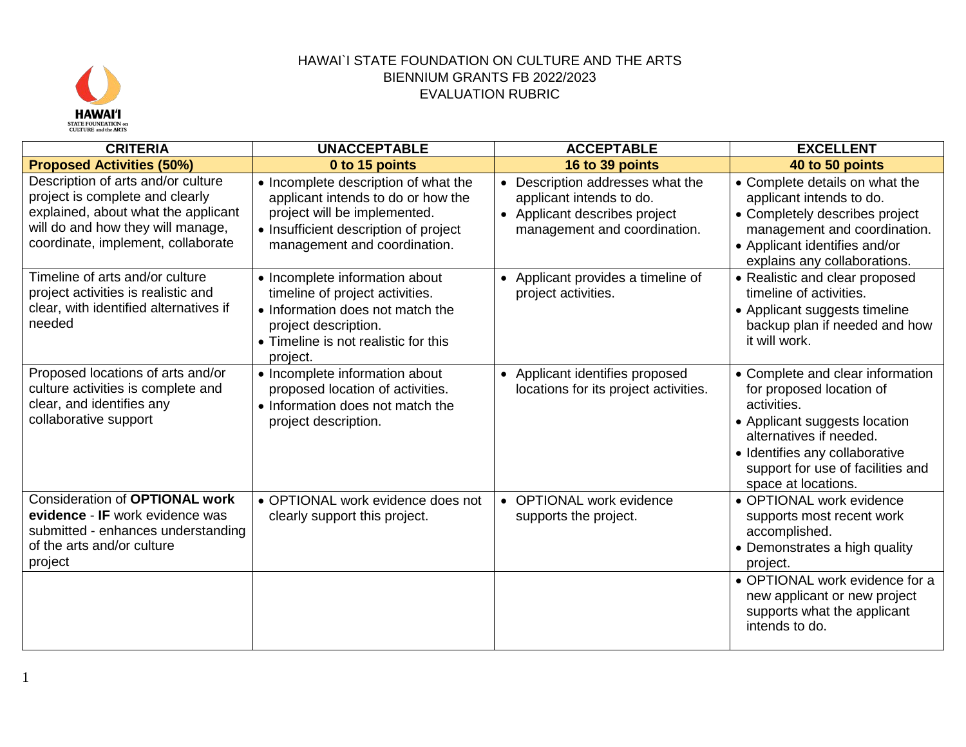

| <b>CRITERIA</b>                                                                                                                                                                         | <b>UNACCEPTABLE</b>                                                                                                                                                                 | <b>ACCEPTABLE</b>                                                                                                             | <b>EXCELLENT</b>                                                                                                                                                                                                                       |
|-----------------------------------------------------------------------------------------------------------------------------------------------------------------------------------------|-------------------------------------------------------------------------------------------------------------------------------------------------------------------------------------|-------------------------------------------------------------------------------------------------------------------------------|----------------------------------------------------------------------------------------------------------------------------------------------------------------------------------------------------------------------------------------|
| <b>Proposed Activities (50%)</b>                                                                                                                                                        | 0 to 15 points                                                                                                                                                                      | 16 to 39 points                                                                                                               | 40 to 50 points                                                                                                                                                                                                                        |
| Description of arts and/or culture<br>project is complete and clearly<br>explained, about what the applicant<br>will do and how they will manage,<br>coordinate, implement, collaborate | • Incomplete description of what the<br>applicant intends to do or how the<br>project will be implemented.<br>• Insufficient description of project<br>management and coordination. | • Description addresses what the<br>applicant intends to do.<br>• Applicant describes project<br>management and coordination. | • Complete details on what the<br>applicant intends to do.<br>• Completely describes project<br>management and coordination.<br>• Applicant identifies and/or<br>explains any collaborations.                                          |
| Timeline of arts and/or culture<br>project activities is realistic and<br>clear, with identified alternatives if<br>needed                                                              | • Incomplete information about<br>timeline of project activities.<br>• Information does not match the<br>project description.<br>• Timeline is not realistic for this<br>project.   | • Applicant provides a timeline of<br>project activities.                                                                     | • Realistic and clear proposed<br>timeline of activities.<br>• Applicant suggests timeline<br>backup plan if needed and how<br>it will work.                                                                                           |
| Proposed locations of arts and/or<br>culture activities is complete and<br>clear, and identifies any<br>collaborative support                                                           | • Incomplete information about<br>proposed location of activities.<br>• Information does not match the<br>project description.                                                      | • Applicant identifies proposed<br>locations for its project activities.                                                      | • Complete and clear information<br>for proposed location of<br>activities.<br>• Applicant suggests location<br>alternatives if needed.<br>• Identifies any collaborative<br>support for use of facilities and<br>space at locations.  |
| <b>Consideration of OPTIONAL work</b><br>evidence - IF work evidence was<br>submitted - enhances understanding<br>of the arts and/or culture<br>project                                 | • OPTIONAL work evidence does not<br>clearly support this project.                                                                                                                  | • OPTIONAL work evidence<br>supports the project.                                                                             | • OPTIONAL work evidence<br>supports most recent work<br>accomplished.<br>• Demonstrates a high quality<br>project.<br>• OPTIONAL work evidence for a<br>new applicant or new project<br>supports what the applicant<br>intends to do. |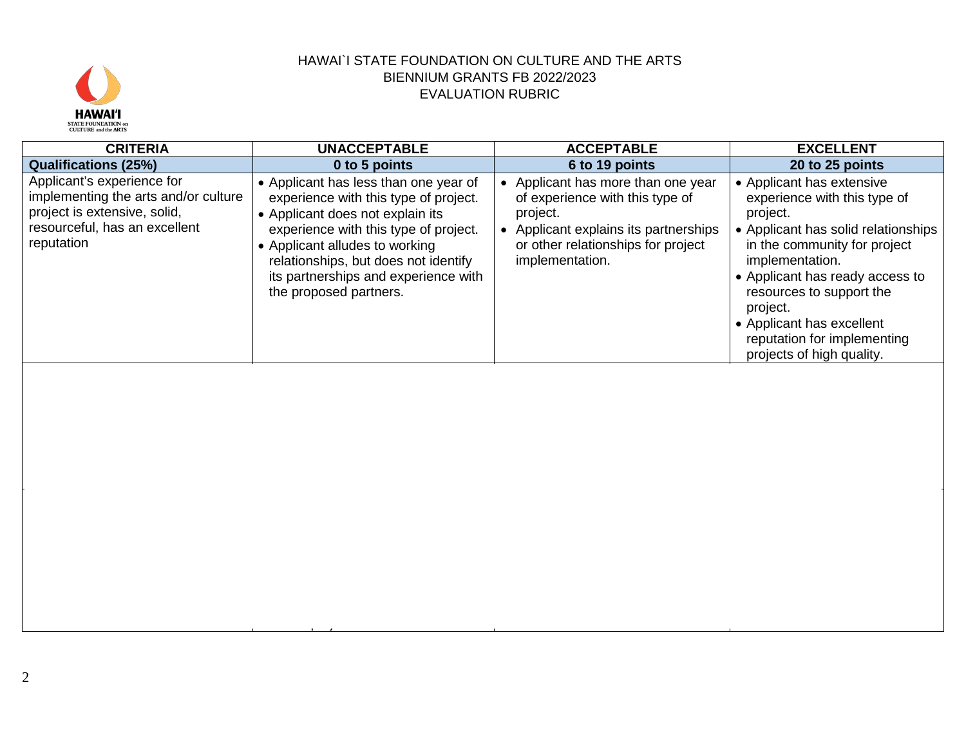

| <b>CRITERIA</b>                                                                                                                                   | <b>UNACCEPTABLE</b>                                                                                                                                                                                                                                                                                     | <b>ACCEPTABLE</b>                                                                                                                                                                 | <b>EXCELLENT</b>                                                                                                                                                                                                                                                                                                                    |
|---------------------------------------------------------------------------------------------------------------------------------------------------|---------------------------------------------------------------------------------------------------------------------------------------------------------------------------------------------------------------------------------------------------------------------------------------------------------|-----------------------------------------------------------------------------------------------------------------------------------------------------------------------------------|-------------------------------------------------------------------------------------------------------------------------------------------------------------------------------------------------------------------------------------------------------------------------------------------------------------------------------------|
| <b>Qualifications (25%)</b>                                                                                                                       | 0 to 5 points                                                                                                                                                                                                                                                                                           | 6 to 19 points                                                                                                                                                                    | 20 to 25 points                                                                                                                                                                                                                                                                                                                     |
| Applicant's experience for<br>implementing the arts and/or culture<br>project is extensive, solid,<br>resourceful, has an excellent<br>reputation | • Applicant has less than one year of<br>experience with this type of project.<br>• Applicant does not explain its<br>experience with this type of project.<br>• Applicant alludes to working<br>relationships, but does not identify<br>its partnerships and experience with<br>the proposed partners. | Applicant has more than one year<br>of experience with this type of<br>project.<br>• Applicant explains its partnerships<br>or other relationships for project<br>implementation. | • Applicant has extensive<br>experience with this type of<br>project.<br>• Applicant has solid relationships<br>in the community for project<br>implementation.<br>• Applicant has ready access to<br>resources to support the<br>project.<br>• Applicant has excellent<br>reputation for implementing<br>projects of high quality. |

for the project.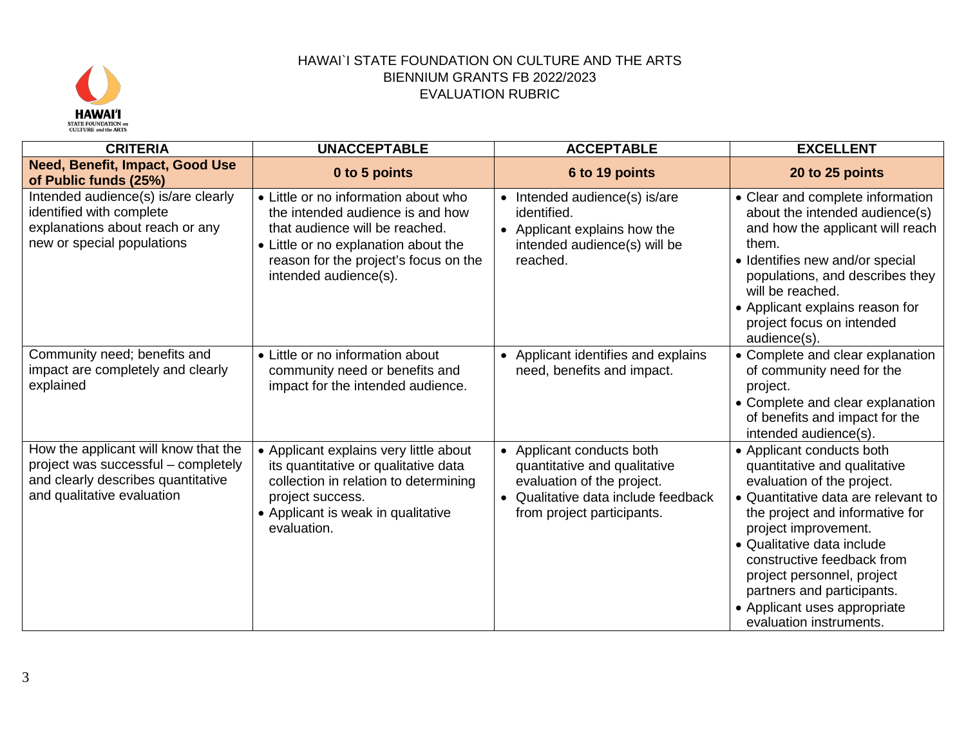

| <b>CRITERIA</b>                                                                                                                                 | <b>UNACCEPTABLE</b>                                                                                                                                                                                                  | <b>ACCEPTABLE</b>                                                                                                                                          | <b>EXCELLENT</b>                                                                                                                                                                                                                                                                                                                                                             |
|-------------------------------------------------------------------------------------------------------------------------------------------------|----------------------------------------------------------------------------------------------------------------------------------------------------------------------------------------------------------------------|------------------------------------------------------------------------------------------------------------------------------------------------------------|------------------------------------------------------------------------------------------------------------------------------------------------------------------------------------------------------------------------------------------------------------------------------------------------------------------------------------------------------------------------------|
| <b>Need, Benefit, Impact, Good Use</b><br>of Public funds (25%)                                                                                 | 0 to 5 points                                                                                                                                                                                                        | 6 to 19 points                                                                                                                                             | 20 to 25 points                                                                                                                                                                                                                                                                                                                                                              |
| Intended audience(s) is/are clearly<br>identified with complete<br>explanations about reach or any<br>new or special populations                | • Little or no information about who<br>the intended audience is and how<br>that audience will be reached.<br>• Little or no explanation about the<br>reason for the project's focus on the<br>intended audience(s). | • Intended audience(s) is/are<br>identified.<br>• Applicant explains how the<br>intended audience(s) will be<br>reached.                                   | • Clear and complete information<br>about the intended audience(s)<br>and how the applicant will reach<br>them.<br>• Identifies new and/or special<br>populations, and describes they<br>will be reached.<br>• Applicant explains reason for<br>project focus on intended<br>audience(s).                                                                                    |
| Community need; benefits and<br>impact are completely and clearly<br>explained                                                                  | • Little or no information about<br>community need or benefits and<br>impact for the intended audience.                                                                                                              | • Applicant identifies and explains<br>need, benefits and impact.                                                                                          | • Complete and clear explanation<br>of community need for the<br>project.<br>• Complete and clear explanation<br>of benefits and impact for the<br>intended audience(s).                                                                                                                                                                                                     |
| How the applicant will know that the<br>project was successful - completely<br>and clearly describes quantitative<br>and qualitative evaluation | • Applicant explains very little about<br>its quantitative or qualitative data<br>collection in relation to determining<br>project success.<br>• Applicant is weak in qualitative<br>evaluation.                     | Applicant conducts both<br>quantitative and qualitative<br>evaluation of the project.<br>• Qualitative data include feedback<br>from project participants. | • Applicant conducts both<br>quantitative and qualitative<br>evaluation of the project.<br>• Quantitative data are relevant to<br>the project and informative for<br>project improvement.<br>• Qualitative data include<br>constructive feedback from<br>project personnel, project<br>partners and participants.<br>• Applicant uses appropriate<br>evaluation instruments. |